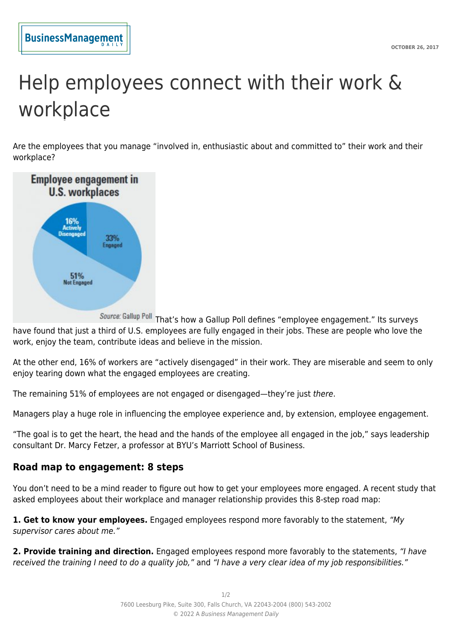## Help employees connect with their work & workplace

Are the employees that you manage "involved in, enthusiastic about and committed to" their work and their workplace?



Source: Gallup Poll That's how a Gallup Poll defines "employee engagement." Its surveys have found that just a third of U.S. employees are fully engaged in their jobs. These are people who love the work, enjoy the team, contribute ideas and believe in the mission.

At the other end, 16% of workers are "actively disengaged" in their work. They are miserable and seem to only enjoy tearing down what the engaged employees are creating.

The remaining 51% of employees are not engaged or disengaged—they're just there.

Managers play a huge role in influencing the employee experience and, by extension, employee engagement.

"The goal is to get the heart, the head and the hands of the employee all engaged in the job," says leadership consultant Dr. Marcy Fetzer, a professor at BYU's Marriott School of Business.

## **Road map to engagement: 8 steps**

You don't need to be a mind reader to figure out how to get your employees more engaged. A recent study that asked employees about their workplace and manager relationship provides this 8-step road map:

**1. Get to know your employees.** Engaged employees respond more favorably to the statement, "My supervisor cares about me."

**2. Provide training and direction.** Engaged employees respond more favorably to the statements, "I have received the training I need to do a quality job," and "I have a very clear idea of my job responsibilities."